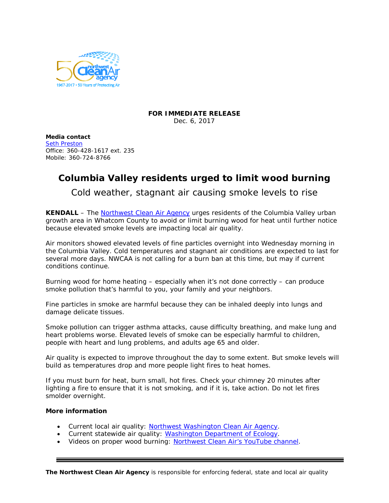

## **FOR IMMEDIATE RELEASE** Dec. 6, 2017

**Media contact** [Seth Preston](mailto:sethp@nwcleanairwa.gov) Office: 360-428-1617 ext. 235 Mobile: 360-724-8766

## **Columbia Valley residents urged to limit wood burning**

Cold weather, stagnant air causing smoke levels to rise

**KENDALL** – The [Northwest Clean Air Agency](http://nwcleanairwa.gov/) urges residents of the Columbia Valley urban growth area in Whatcom County to avoid or limit burning wood for heat until further notice because elevated smoke levels are impacting local air quality.

Air monitors showed elevated levels of fine particles overnight into Wednesday morning in the Columbia Valley. Cold temperatures and stagnant air conditions are expected to last for several more days. NWCAA is not calling for a burn ban at this time, but may if current conditions continue.

Burning wood for home heating – especially when it's not done correctly – can produce smoke pollution that's harmful to you, your family and your neighbors.

Fine particles in smoke are harmful because they can be inhaled deeply into lungs and damage delicate tissues.

Smoke pollution can trigger asthma attacks, cause difficulty breathing, and make lung and heart problems worse. Elevated levels of smoke can be especially harmful to children, people with heart and lung problems, and adults age 65 and older.

Air quality is expected to improve throughout the day to some extent. But smoke levels will build as temperatures drop and more people light fires to heat homes.

If you must burn for heat, burn small, hot fires. Check your chimney 20 minutes after lighting a fire to ensure that it is not smoking, and if it is, take action. Do not let fires smolder overnight.

## **More information**

- Current local air quality: [Northwest Washington Clean Air Agency.](http://nwcleanairwa.gov/air-quality-center/)
- Current statewide air quality: [Washington Department of Ecology.](https://fortress.wa.gov/ecy/enviwa/)
- Videos on proper wood burning: [Northwest Clean Air's YouTube channel.](https://www.youtube.com/channel/UCHnjxDPn178qEezSYFvvL_Q)